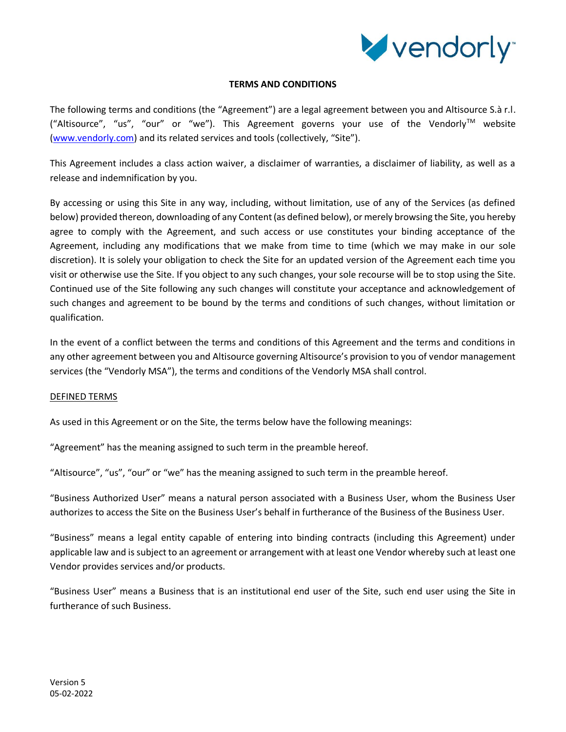

# **TERMS AND CONDITIONS**

The following terms and conditions (the "Agreement") are a legal agreement between you and Altisource S.à r.l.  $($ "Altisource", "us", "our" or "we"). This Agreement governs your use of the Vendorly $^{TM}$  website [\(www.vendorly.com](http://www.vendorly.com/)) and its related services and tools (collectively, "Site").

This Agreement includes a class action waiver, a disclaimer of warranties, a disclaimer of liability, as well as a release and indemnification by you.

By accessing or using this Site in any way, including, without limitation, use of any of the Services (as defined below) provided thereon, downloading of any Content (as defined below), or merely browsing the Site, you hereby agree to comply with the Agreement, and such access or use constitutes your binding acceptance of the Agreement, including any modifications that we make from time to time (which we may make in our sole discretion). It is solely your obligation to check the Site for an updated version of the Agreement each time you visit or otherwise use the Site. If you object to any such changes, your sole recourse will be to stop using the Site. Continued use of the Site following any such changes will constitute your acceptance and acknowledgement of such changes and agreement to be bound by the terms and conditions of such changes, without limitation or qualification.

In the event of a conflict between the terms and conditions of this Agreement and the terms and conditions in any other agreement between you and Altisource governing Altisource's provision to you of vendor management services (the "Vendorly MSA"), the terms and conditions of the Vendorly MSA shall control.

# DEFINED TERMS

As used in this Agreement or on the Site, the terms below have the following meanings:

"Agreement" has the meaning assigned to such term in the preamble hereof.

"Altisource", "us", "our" or "we" has the meaning assigned to such term in the preamble hereof.

"Business Authorized User" means a natural person associated with a Business User, whom the Business User authorizes to access the Site on the Business User's behalf in furtherance of the Business of the Business User.

"Business" means a legal entity capable of entering into binding contracts (including this Agreement) under applicable law and is subject to an agreement or arrangement with at least one Vendor whereby such at least one Vendor provides services and/or products.

"Business User" means a Business that is an institutional end user of the Site, such end user using the Site in furtherance of such Business.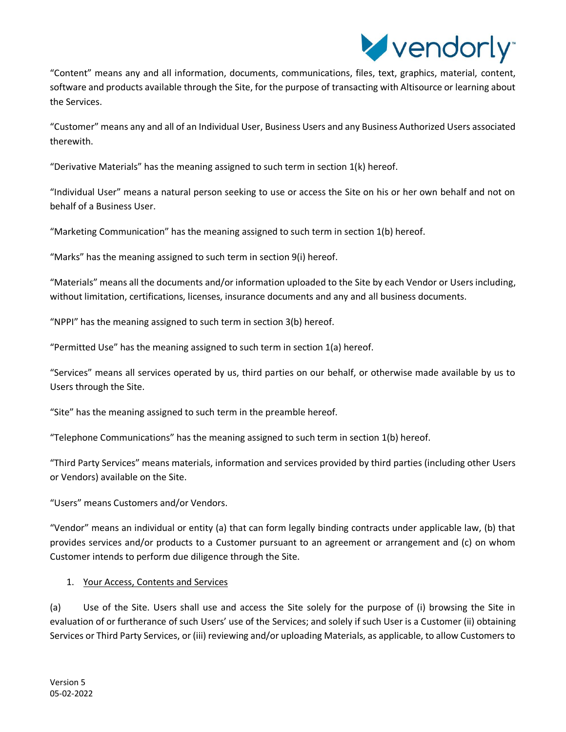

"Content" means any and all information, documents, communications, files, text, graphics, material, content, software and products available through the Site, for the purpose of transacting with Altisource or learning about the Services.

"Customer" means any and all of an Individual User, Business Users and any Business Authorized Users associated therewith.

"Derivative Materials" has the meaning assigned to such term in section  $1(k)$  hereof.

"Individual User" means a natural person seeking to use or access the Site on his or her own behalf and not on behalf of a Business User.

"Marketing Communication" has the meaning assigned to such term in section 1(b) hereof.

"Marks" has the meaning assigned to such term in section 9(i) hereof.

"Materials" means all the documents and/or information uploaded to the Site by each Vendor or Users including, without limitation, certifications, licenses, insurance documents and any and all business documents.

"NPPI" has the meaning assigned to such term in section 3(b) hereof.

"Permitted Use" has the meaning assigned to such term in section 1(a) hereof.

"Services" means all services operated by us, third parties on our behalf, or otherwise made available by us to Users through the Site.

"Site" has the meaning assigned to such term in the preamble hereof.

"Telephone Communications" has the meaning assigned to such term in section 1(b) hereof.

"Third Party Services" means materials, information and services provided by third parties (including other Users or Vendors) available on the Site.

"Users" means Customers and/or Vendors.

"Vendor" means an individual or entity (a) that can form legally binding contracts under applicable law, (b) that provides services and/or products to a Customer pursuant to an agreement or arrangement and (c) on whom Customer intends to perform due diligence through the Site.

# 1. Your Access, Contents and Services

(a) Use of the Site. Users shall use and access the Site solely for the purpose of (i) browsing the Site in evaluation of or furtherance of such Users' use of the Services; and solely if such User is a Customer (ii) obtaining Services or Third Party Services, or (iii) reviewing and/or uploading Materials, as applicable, to allow Customers to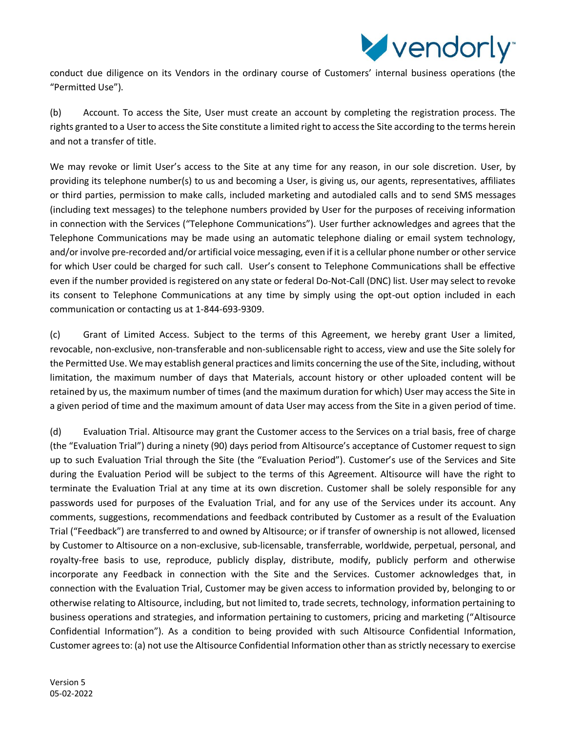

conduct due diligence on its Vendors in the ordinary course of Customers' internal business operations (the "Permitted Use").

(b) Account. To access the Site, User must create an account by completing the registration process. The rights granted to a User to access the Site constitute a limited right to access the Site according to the terms herein and not a transfer of title.

We may revoke or limit User's access to the Site at any time for any reason, in our sole discretion. User, by providing its telephone number(s) to us and becoming a User, is giving us, our agents, representatives, affiliates or third parties, permission to make calls, included marketing and autodialed calls and to send SMS messages (including text messages) to the telephone numbers provided by User for the purposes of receiving information in connection with the Services ("Telephone Communications"). User further acknowledges and agrees that the Telephone Communications may be made using an automatic telephone dialing or email system technology, and/or involve pre-recorded and/or artificial voice messaging, even if it is a cellular phone number or other service for which User could be charged for such call. User's consent to Telephone Communications shall be effective even if the number provided is registered on any state or federal Do-Not-Call (DNC) list. User may select to revoke its consent to Telephone Communications at any time by simply using the opt-out option included in each communication or contacting us at 1-844-693-9309.

(c) Grant of Limited Access. Subject to the terms of this Agreement, we hereby grant User a limited, revocable, non-exclusive, non-transferable and non-sublicensable right to access, view and use the Site solely for the Permitted Use. We may establish general practices and limits concerning the use of the Site, including, without limitation, the maximum number of days that Materials, account history or other uploaded content will be retained by us, the maximum number of times (and the maximum duration for which) User may access the Site in a given period of time and the maximum amount of data User may access from the Site in a given period of time.

(d) Evaluation Trial. Altisource may grant the Customer access to the Services on a trial basis, free of charge (the "Evaluation Trial") during a ninety (90) days period from Altisource's acceptance of Customer request to sign up to such Evaluation Trial through the Site (the "Evaluation Period"). Customer's use of the Services and Site during the Evaluation Period will be subject to the terms of this Agreement. Altisource will have the right to terminate the Evaluation Trial at any time at its own discretion. Customer shall be solely responsible for any passwords used for purposes of the Evaluation Trial, and for any use of the Services under its account. Any comments, suggestions, recommendations and feedback contributed by Customer as a result of the Evaluation Trial ("Feedback") are transferred to and owned by Altisource; or if transfer of ownership is not allowed, licensed by Customer to Altisource on a non-exclusive, sub-licensable, transferrable, worldwide, perpetual, personal, and royalty-free basis to use, reproduce, publicly display, distribute, modify, publicly perform and otherwise incorporate any Feedback in connection with the Site and the Services. Customer acknowledges that, in connection with the Evaluation Trial, Customer may be given access to information provided by, belonging to or otherwise relating to Altisource, including, but not limited to, trade secrets, technology, information pertaining to business operations and strategies, and information pertaining to customers, pricing and marketing ("Altisource Confidential Information"). As a condition to being provided with such Altisource Confidential Information, Customer agrees to: (a) not use the Altisource Confidential Information other than as strictly necessary to exercise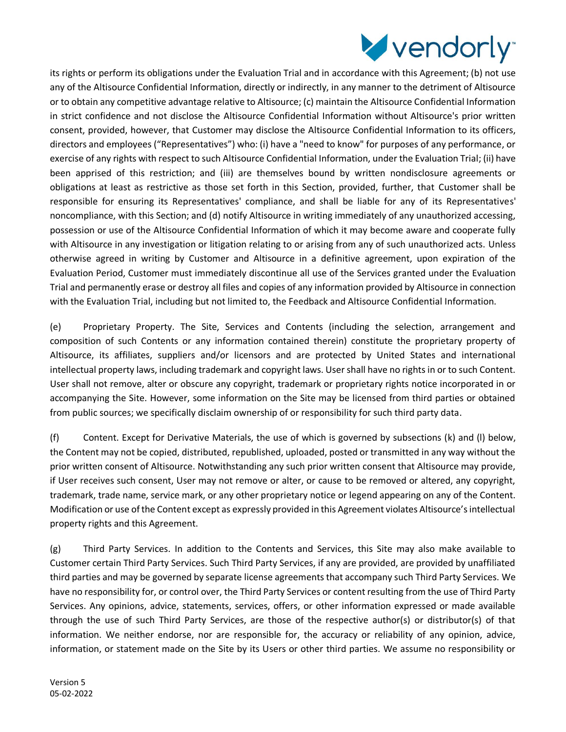

its rights or perform its obligations under the Evaluation Trial and in accordance with this Agreement; (b) not use any of the Altisource Confidential Information, directly or indirectly, in any manner to the detriment of Altisource or to obtain any competitive advantage relative to Altisource; (c) maintain the Altisource Confidential Information in strict confidence and not disclose the Altisource Confidential Information without Altisource's prior written consent, provided, however, that Customer may disclose the Altisource Confidential Information to its officers, directors and employees ("Representatives") who: (i) have a "need to know" for purposes of any performance, or exercise of any rights with respect to such Altisource Confidential Information, under the Evaluation Trial; (ii) have been apprised of this restriction; and (iii) are themselves bound by written nondisclosure agreements or obligations at least as restrictive as those set forth in this Section, provided, further, that Customer shall be responsible for ensuring its Representatives' compliance, and shall be liable for any of its Representatives' noncompliance, with this Section; and (d) notify Altisource in writing immediately of any unauthorized accessing, possession or use of the Altisource Confidential Information of which it may become aware and cooperate fully with Altisource in any investigation or litigation relating to or arising from any of such unauthorized acts. Unless otherwise agreed in writing by Customer and Altisource in a definitive agreement, upon expiration of the Evaluation Period, Customer must immediately discontinue all use of the Services granted under the Evaluation Trial and permanently erase or destroy all files and copies of any information provided by Altisource in connection with the Evaluation Trial, including but not limited to, the Feedback and Altisource Confidential Information.

(e) Proprietary Property. The Site, Services and Contents (including the selection, arrangement and composition of such Contents or any information contained therein) constitute the proprietary property of Altisource, its affiliates, suppliers and/or licensors and are protected by United States and international intellectual property laws, including trademark and copyright laws. User shall have no rights in or to such Content. User shall not remove, alter or obscure any copyright, trademark or proprietary rights notice incorporated in or accompanying the Site. However, some information on the Site may be licensed from third parties or obtained from public sources; we specifically disclaim ownership of or responsibility for such third party data.

(f) Content. Except for Derivative Materials, the use of which is governed by subsections (k) and (l) below, the Content may not be copied, distributed, republished, uploaded, posted or transmitted in any way without the prior written consent of Altisource. Notwithstanding any such prior written consent that Altisource may provide, if User receives such consent, User may not remove or alter, or cause to be removed or altered, any copyright, trademark, trade name, service mark, or any other proprietary notice or legend appearing on any of the Content. Modification or use of the Content except as expressly provided in this Agreement violates Altisource's intellectual property rights and this Agreement.

(g) Third Party Services. In addition to the Contents and Services, this Site may also make available to Customer certain Third Party Services. Such Third Party Services, if any are provided, are provided by unaffiliated third parties and may be governed by separate license agreements that accompany such Third Party Services. We have no responsibility for, or control over, the Third Party Services or content resulting from the use of Third Party Services. Any opinions, advice, statements, services, offers, or other information expressed or made available through the use of such Third Party Services, are those of the respective author(s) or distributor(s) of that information. We neither endorse, nor are responsible for, the accuracy or reliability of any opinion, advice, information, or statement made on the Site by its Users or other third parties. We assume no responsibility or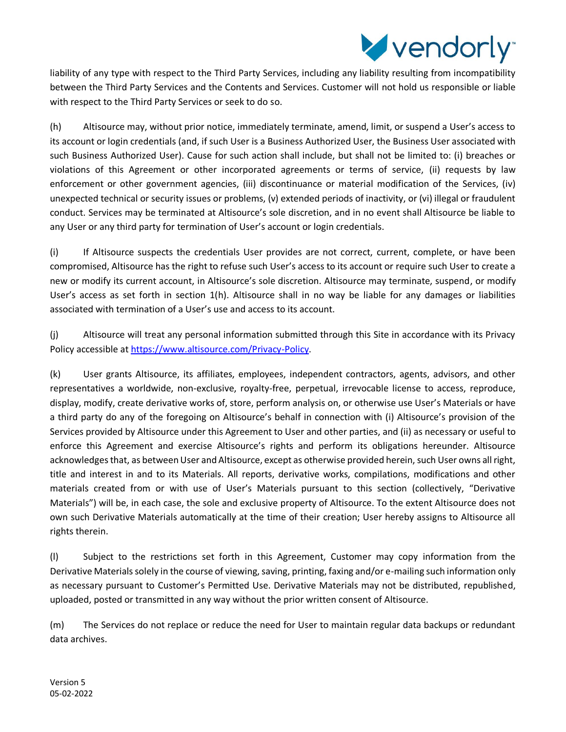

liability of any type with respect to the Third Party Services, including any liability resulting from incompatibility between the Third Party Services and the Contents and Services. Customer will not hold us responsible or liable with respect to the Third Party Services or seek to do so.

(h) Altisource may, without prior notice, immediately terminate, amend, limit, or suspend a User's access to its account or login credentials (and, if such User is a Business Authorized User, the Business User associated with such Business Authorized User). Cause for such action shall include, but shall not be limited to: (i) breaches or violations of this Agreement or other incorporated agreements or terms of service, (ii) requests by law enforcement or other government agencies, (iii) discontinuance or material modification of the Services, (iv) unexpected technical or security issues or problems, (v) extended periods of inactivity, or (vi) illegal or fraudulent conduct. Services may be terminated at Altisource's sole discretion, and in no event shall Altisource be liable to any User or any third party for termination of User's account or login credentials.

(i) If Altisource suspects the credentials User provides are not correct, current, complete, or have been compromised, Altisource has the right to refuse such User's access to its account or require such User to create a new or modify its current account, in Altisource's sole discretion. Altisource may terminate, suspend, or modify User's access as set forth in section 1(h). Altisource shall in no way be liable for any damages or liabilities associated with termination of a User's use and access to its account.

(j) Altisource will treat any personal information submitted through this Site in accordance with its Privacy Policy accessible a[t https://www.altisource.com/Privacy-Policy.](https://www.altisource.com/Privacy-Policy)

(k) User grants Altisource, its affiliates, employees, independent contractors, agents, advisors, and other representatives a worldwide, non-exclusive, royalty-free, perpetual, irrevocable license to access, reproduce, display, modify, create derivative works of, store, perform analysis on, or otherwise use User's Materials or have a third party do any of the foregoing on Altisource's behalf in connection with (i) Altisource's provision of the Services provided by Altisource under this Agreement to User and other parties, and (ii) as necessary or useful to enforce this Agreement and exercise Altisource's rights and perform its obligations hereunder. Altisource acknowledges that, as between User and Altisource, except as otherwise provided herein, such User owns all right, title and interest in and to its Materials. All reports, derivative works, compilations, modifications and other materials created from or with use of User's Materials pursuant to this section (collectively, "Derivative Materials") will be, in each case, the sole and exclusive property of Altisource. To the extent Altisource does not own such Derivative Materials automatically at the time of their creation; User hereby assigns to Altisource all rights therein.

(l) Subject to the restrictions set forth in this Agreement, Customer may copy information from the Derivative Materials solely in the course of viewing, saving, printing, faxing and/or e-mailing such information only as necessary pursuant to Customer's Permitted Use. Derivative Materials may not be distributed, republished, uploaded, posted or transmitted in any way without the prior written consent of Altisource.

(m) The Services do not replace or reduce the need for User to maintain regular data backups or redundant data archives.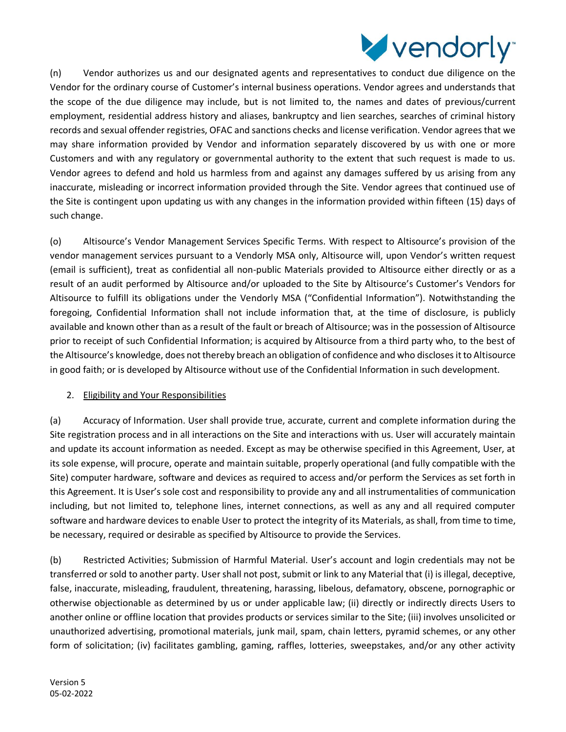

(n) Vendor authorizes us and our designated agents and representatives to conduct due diligence on the Vendor for the ordinary course of Customer's internal business operations. Vendor agrees and understands that the scope of the due diligence may include, but is not limited to, the names and dates of previous/current employment, residential address history and aliases, bankruptcy and lien searches, searches of criminal history records and sexual offender registries, OFAC and sanctions checks and license verification. Vendor agrees that we may share information provided by Vendor and information separately discovered by us with one or more Customers and with any regulatory or governmental authority to the extent that such request is made to us. Vendor agrees to defend and hold us harmless from and against any damages suffered by us arising from any inaccurate, misleading or incorrect information provided through the Site. Vendor agrees that continued use of the Site is contingent upon updating us with any changes in the information provided within fifteen (15) days of such change.

(o) Altisource's Vendor Management Services Specific Terms. With respect to Altisource's provision of the vendor management services pursuant to a Vendorly MSA only, Altisource will, upon Vendor's written request (email is sufficient), treat as confidential all non-public Materials provided to Altisource either directly or as a result of an audit performed by Altisource and/or uploaded to the Site by Altisource's Customer's Vendors for Altisource to fulfill its obligations under the Vendorly MSA ("Confidential Information"). Notwithstanding the foregoing, Confidential Information shall not include information that, at the time of disclosure, is publicly available and known other than as a result of the fault or breach of Altisource; was in the possession of Altisource prior to receipt of such Confidential Information; is acquired by Altisource from a third party who, to the best of the Altisource's knowledge, does not thereby breach an obligation of confidence and who discloses it to Altisource in good faith; or is developed by Altisource without use of the Confidential Information in such development.

# 2. Eligibility and Your Responsibilities

(a) Accuracy of Information. User shall provide true, accurate, current and complete information during the Site registration process and in all interactions on the Site and interactions with us. User will accurately maintain and update its account information as needed. Except as may be otherwise specified in this Agreement, User, at its sole expense, will procure, operate and maintain suitable, properly operational (and fully compatible with the Site) computer hardware, software and devices as required to access and/or perform the Services as set forth in this Agreement. It is User's sole cost and responsibility to provide any and all instrumentalities of communication including, but not limited to, telephone lines, internet connections, as well as any and all required computer software and hardware devices to enable User to protect the integrity of its Materials, as shall, from time to time, be necessary, required or desirable as specified by Altisource to provide the Services.

(b) Restricted Activities; Submission of Harmful Material. User's account and login credentials may not be transferred or sold to another party. User shall not post, submit or link to any Material that (i) is illegal, deceptive, false, inaccurate, misleading, fraudulent, threatening, harassing, libelous, defamatory, obscene, pornographic or otherwise objectionable as determined by us or under applicable law; (ii) directly or indirectly directs Users to another online or offline location that provides products or services similar to the Site; (iii) involves unsolicited or unauthorized advertising, promotional materials, junk mail, spam, chain letters, pyramid schemes, or any other form of solicitation; (iv) facilitates gambling, gaming, raffles, lotteries, sweepstakes, and/or any other activity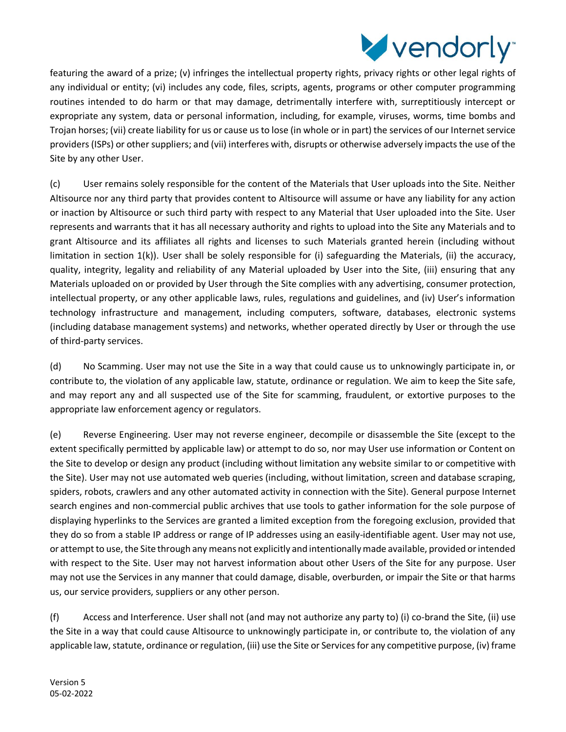

featuring the award of a prize; (v) infringes the intellectual property rights, privacy rights or other legal rights of any individual or entity; (vi) includes any code, files, scripts, agents, programs or other computer programming routines intended to do harm or that may damage, detrimentally interfere with, surreptitiously intercept or expropriate any system, data or personal information, including, for example, viruses, worms, time bombs and Trojan horses; (vii) create liability for us or cause us to lose (in whole or in part) the services of our Internet service providers (ISPs) or other suppliers; and (vii) interferes with, disrupts or otherwise adversely impacts the use of the Site by any other User.

(c) User remains solely responsible for the content of the Materials that User uploads into the Site. Neither Altisource nor any third party that provides content to Altisource will assume or have any liability for any action or inaction by Altisource or such third party with respect to any Material that User uploaded into the Site. User represents and warrants that it has all necessary authority and rights to upload into the Site any Materials and to grant Altisource and its affiliates all rights and licenses to such Materials granted herein (including without limitation in section 1(k)). User shall be solely responsible for (i) safeguarding the Materials, (ii) the accuracy, quality, integrity, legality and reliability of any Material uploaded by User into the Site, (iii) ensuring that any Materials uploaded on or provided by User through the Site complies with any advertising, consumer protection, intellectual property, or any other applicable laws, rules, regulations and guidelines, and (iv) User's information technology infrastructure and management, including computers, software, databases, electronic systems (including database management systems) and networks, whether operated directly by User or through the use of third-party services.

(d) No Scamming. User may not use the Site in a way that could cause us to unknowingly participate in, or contribute to, the violation of any applicable law, statute, ordinance or regulation. We aim to keep the Site safe, and may report any and all suspected use of the Site for scamming, fraudulent, or extortive purposes to the appropriate law enforcement agency or regulators.

(e) Reverse Engineering. User may not reverse engineer, decompile or disassemble the Site (except to the extent specifically permitted by applicable law) or attempt to do so, nor may User use information or Content on the Site to develop or design any product (including without limitation any website similar to or competitive with the Site). User may not use automated web queries (including, without limitation, screen and database scraping, spiders, robots, crawlers and any other automated activity in connection with the Site). General purpose Internet search engines and non-commercial public archives that use tools to gather information for the sole purpose of displaying hyperlinks to the Services are granted a limited exception from the foregoing exclusion, provided that they do so from a stable IP address or range of IP addresses using an easily-identifiable agent. User may not use, or attempt to use, the Site through any means not explicitly and intentionally made available, provided or intended with respect to the Site. User may not harvest information about other Users of the Site for any purpose. User may not use the Services in any manner that could damage, disable, overburden, or impair the Site or that harms us, our service providers, suppliers or any other person.

(f) Access and Interference. User shall not (and may not authorize any party to) (i) co-brand the Site, (ii) use the Site in a way that could cause Altisource to unknowingly participate in, or contribute to, the violation of any applicable law, statute, ordinance or regulation, (iii) use the Site or Services for any competitive purpose, (iv) frame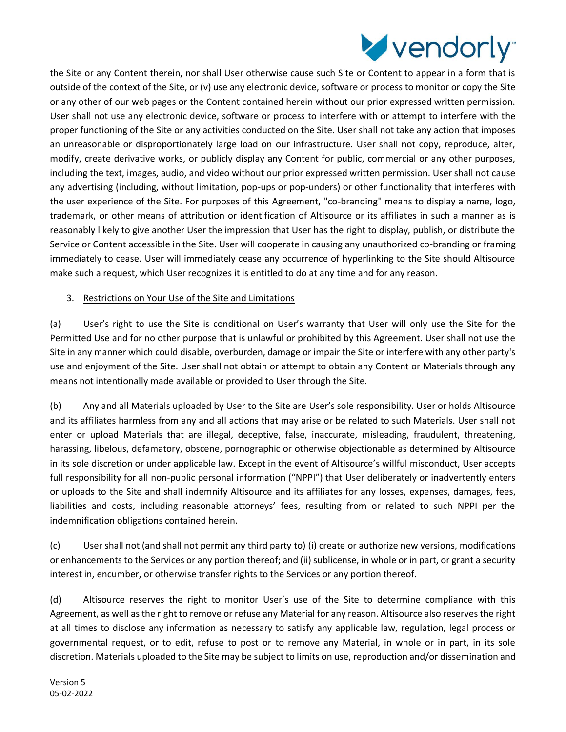

the Site or any Content therein, nor shall User otherwise cause such Site or Content to appear in a form that is outside of the context of the Site, or (v) use any electronic device, software or process to monitor or copy the Site or any other of our web pages or the Content contained herein without our prior expressed written permission. User shall not use any electronic device, software or process to interfere with or attempt to interfere with the proper functioning of the Site or any activities conducted on the Site. User shall not take any action that imposes an unreasonable or disproportionately large load on our infrastructure. User shall not copy, reproduce, alter, modify, create derivative works, or publicly display any Content for public, commercial or any other purposes, including the text, images, audio, and video without our prior expressed written permission. User shall not cause any advertising (including, without limitation, pop-ups or pop-unders) or other functionality that interferes with the user experience of the Site. For purposes of this Agreement, "co-branding" means to display a name, logo, trademark, or other means of attribution or identification of Altisource or its affiliates in such a manner as is reasonably likely to give another User the impression that User has the right to display, publish, or distribute the Service or Content accessible in the Site. User will cooperate in causing any unauthorized co-branding or framing immediately to cease. User will immediately cease any occurrence of hyperlinking to the Site should Altisource make such a request, which User recognizes it is entitled to do at any time and for any reason.

# 3. Restrictions on Your Use of the Site and Limitations

(a) User's right to use the Site is conditional on User's warranty that User will only use the Site for the Permitted Use and for no other purpose that is unlawful or prohibited by this Agreement. User shall not use the Site in any manner which could disable, overburden, damage or impair the Site or interfere with any other party's use and enjoyment of the Site. User shall not obtain or attempt to obtain any Content or Materials through any means not intentionally made available or provided to User through the Site.

(b) Any and all Materials uploaded by User to the Site are User's sole responsibility. User or holds Altisource and its affiliates harmless from any and all actions that may arise or be related to such Materials. User shall not enter or upload Materials that are illegal, deceptive, false, inaccurate, misleading, fraudulent, threatening, harassing, libelous, defamatory, obscene, pornographic or otherwise objectionable as determined by Altisource in its sole discretion or under applicable law. Except in the event of Altisource's willful misconduct, User accepts full responsibility for all non-public personal information ("NPPI") that User deliberately or inadvertently enters or uploads to the Site and shall indemnify Altisource and its affiliates for any losses, expenses, damages, fees, liabilities and costs, including reasonable attorneys' fees, resulting from or related to such NPPI per the indemnification obligations contained herein.

(c) User shall not (and shall not permit any third party to) (i) create or authorize new versions, modifications or enhancements to the Services or any portion thereof; and (ii) sublicense, in whole or in part, or grant a security interest in, encumber, or otherwise transfer rights to the Services or any portion thereof.

(d) Altisource reserves the right to monitor User's use of the Site to determine compliance with this Agreement, as well as the right to remove or refuse any Material for any reason. Altisource also reserves the right at all times to disclose any information as necessary to satisfy any applicable law, regulation, legal process or governmental request, or to edit, refuse to post or to remove any Material, in whole or in part, in its sole discretion. Materials uploaded to the Site may be subject to limits on use, reproduction and/or dissemination and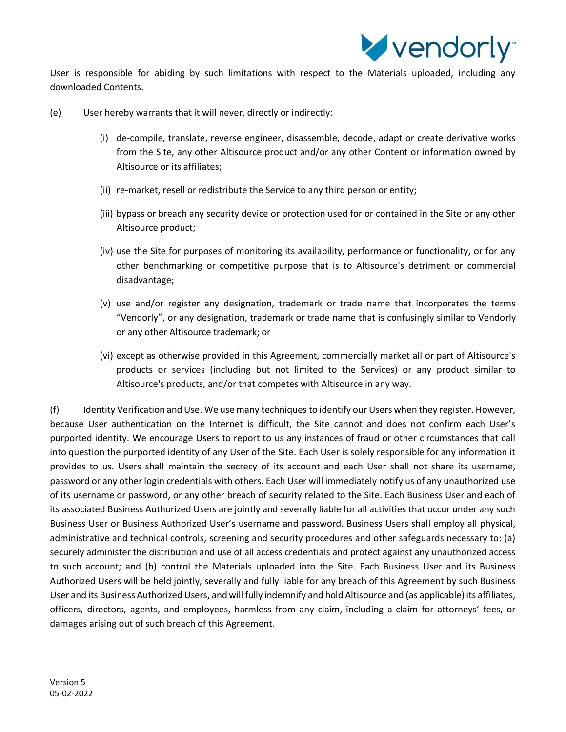

User is responsible for abiding by such limitations with respect to the Materials uploaded, including any downloaded Contents.

- (e) User hereby warrants that it will never, directly or indirectly:
	- (i) de-compile, translate, reverse engineer, disassemble, decode, adapt or create derivative works from the Site, any other Altisource product and/or any other Content or information owned by Altisource or its affiliates;
	- (ii) re-market, resell or redistribute the Service to any third person or entity;
	- (iii) bypass or breach any security device or protection used for or contained in the Site or any other Altisource product;
	- (iv) use the Site for purposes of monitoring its availability, performance or functionality, or for any other benchmarking or competitive purpose that is to Altisource's detriment or commercial disadvantage;
	- (v) use and/or register any designation, trademark or trade name that incorporates the terms "Vendorly", or any designation, trademark or trade name that is confusingly similar to Vendorly or any other Altisource trademark; or
	- (vi) except as otherwise provided in this Agreement, commercially market all or part of Altisource's products or services (including but not limited to the Services) or any product similar to Altisource's products, and/or that competes with Altisource in any way.

(f) Identity Verification and Use. We use many techniques to identify our Users when they register. However, because User authentication on the Internet is difficult, the Site cannot and does not confirm each User's purported identity. We encourage Users to report to us any instances of fraud or other circumstances that call into question the purported identity of any User of the Site. Each User is solely responsible for any information it provides to us. Users shall maintain the secrecy of its account and each User shall not share its username, password or any other login credentials with others. Each User will immediately notify us of any unauthorized use of its username or password, or any other breach of security related to the Site. Each Business User and each of its associated Business Authorized Users are jointly and severally liable for all activities that occur under any such Business User or Business Authorized User's username and password. Business Users shall employ all physical, administrative and technical controls, screening and security procedures and other safeguards necessary to: (a) securely administer the distribution and use of all access credentials and protect against any unauthorized access to such account; and (b) control the Materials uploaded into the Site. Each Business User and its Business Authorized Users will be held jointly, severally and fully liable for any breach of this Agreement by such Business User and its Business Authorized Users, and will fully indemnify and hold Altisource and (as applicable) its affiliates, officers, directors, agents, and employees, harmless from any claim, including a claim for attorneys' fees, or damages arising out of such breach of this Agreement.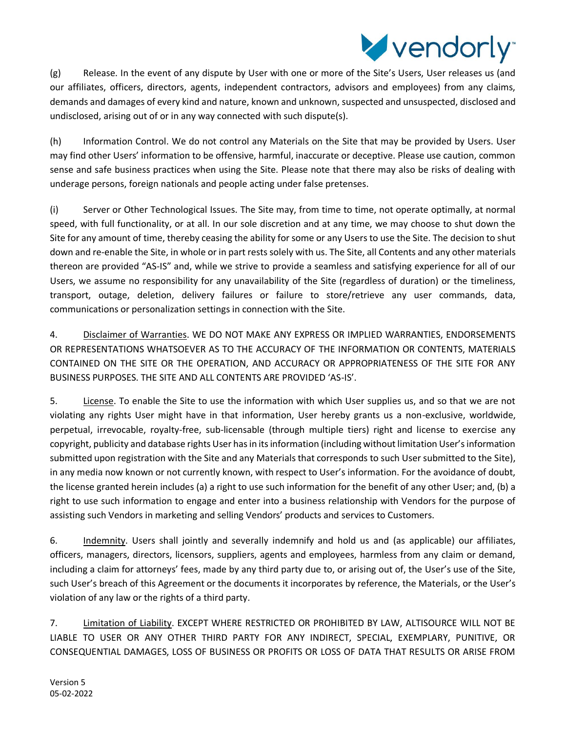

(g) Release. In the event of any dispute by User with one or more of the Site's Users, User releases us (and our affiliates, officers, directors, agents, independent contractors, advisors and employees) from any claims, demands and damages of every kind and nature, known and unknown, suspected and unsuspected, disclosed and undisclosed, arising out of or in any way connected with such dispute(s).

(h) Information Control. We do not control any Materials on the Site that may be provided by Users. User may find other Users' information to be offensive, harmful, inaccurate or deceptive. Please use caution, common sense and safe business practices when using the Site. Please note that there may also be risks of dealing with underage persons, foreign nationals and people acting under false pretenses.

(i) Server or Other Technological Issues. The Site may, from time to time, not operate optimally, at normal speed, with full functionality, or at all. In our sole discretion and at any time, we may choose to shut down the Site for any amount of time, thereby ceasing the ability for some or any Users to use the Site. The decision to shut down and re-enable the Site, in whole or in part rests solely with us. The Site, all Contents and any other materials thereon are provided "AS-IS" and, while we strive to provide a seamless and satisfying experience for all of our Users, we assume no responsibility for any unavailability of the Site (regardless of duration) or the timeliness, transport, outage, deletion, delivery failures or failure to store/retrieve any user commands, data, communications or personalization settings in connection with the Site.

4. Disclaimer of Warranties. WE DO NOT MAKE ANY EXPRESS OR IMPLIED WARRANTIES, ENDORSEMENTS OR REPRESENTATIONS WHATSOEVER AS TO THE ACCURACY OF THE INFORMATION OR CONTENTS, MATERIALS CONTAINED ON THE SITE OR THE OPERATION, AND ACCURACY OR APPROPRIATENESS OF THE SITE FOR ANY BUSINESS PURPOSES. THE SITE AND ALL CONTENTS ARE PROVIDED 'AS-IS'.

5. License. To enable the Site to use the information with which User supplies us, and so that we are not violating any rights User might have in that information, User hereby grants us a non-exclusive, worldwide, perpetual, irrevocable, royalty-free, sub-licensable (through multiple tiers) right and license to exercise any copyright, publicity and database rights User has in its information (including without limitation User's information submitted upon registration with the Site and any Materials that corresponds to such User submitted to the Site), in any media now known or not currently known, with respect to User's information. For the avoidance of doubt, the license granted herein includes (a) a right to use such information for the benefit of any other User; and, (b) a right to use such information to engage and enter into a business relationship with Vendors for the purpose of assisting such Vendors in marketing and selling Vendors' products and services to Customers.

6. Indemnity. Users shall jointly and severally indemnify and hold us and (as applicable) our affiliates, officers, managers, directors, licensors, suppliers, agents and employees, harmless from any claim or demand, including a claim for attorneys' fees, made by any third party due to, or arising out of, the User's use of the Site, such User's breach of this Agreement or the documents it incorporates by reference, the Materials, or the User's violation of any law or the rights of a third party.

7. Limitation of Liability. EXCEPT WHERE RESTRICTED OR PROHIBITED BY LAW, ALTISOURCE WILL NOT BE LIABLE TO USER OR ANY OTHER THIRD PARTY FOR ANY INDIRECT, SPECIAL, EXEMPLARY, PUNITIVE, OR CONSEQUENTIAL DAMAGES, LOSS OF BUSINESS OR PROFITS OR LOSS OF DATA THAT RESULTS OR ARISE FROM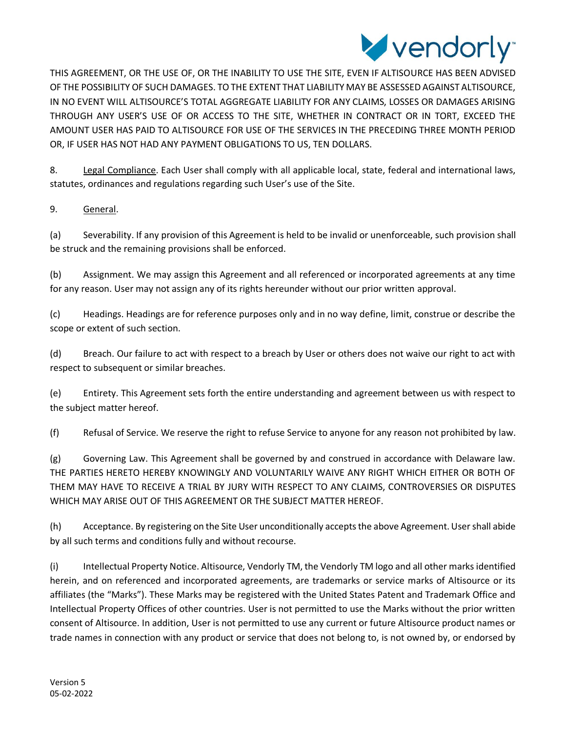

THIS AGREEMENT, OR THE USE OF, OR THE INABILITY TO USE THE SITE, EVEN IF ALTISOURCE HAS BEEN ADVISED OF THE POSSIBILITY OF SUCH DAMAGES. TO THE EXTENT THAT LIABILITY MAY BE ASSESSED AGAINST ALTISOURCE, IN NO EVENT WILL ALTISOURCE'S TOTAL AGGREGATE LIABILITY FOR ANY CLAIMS, LOSSES OR DAMAGES ARISING THROUGH ANY USER'S USE OF OR ACCESS TO THE SITE, WHETHER IN CONTRACT OR IN TORT, EXCEED THE AMOUNT USER HAS PAID TO ALTISOURCE FOR USE OF THE SERVICES IN THE PRECEDING THREE MONTH PERIOD OR, IF USER HAS NOT HAD ANY PAYMENT OBLIGATIONS TO US, TEN DOLLARS.

8. Legal Compliance. Each User shall comply with all applicable local, state, federal and international laws, statutes, ordinances and regulations regarding such User's use of the Site.

9. General.

(a) Severability. If any provision of this Agreement is held to be invalid or unenforceable, such provision shall be struck and the remaining provisions shall be enforced.

(b) Assignment. We may assign this Agreement and all referenced or incorporated agreements at any time for any reason. User may not assign any of its rights hereunder without our prior written approval.

(c) Headings. Headings are for reference purposes only and in no way define, limit, construe or describe the scope or extent of such section.

(d) Breach. Our failure to act with respect to a breach by User or others does not waive our right to act with respect to subsequent or similar breaches.

(e) Entirety. This Agreement sets forth the entire understanding and agreement between us with respect to the subject matter hereof.

(f) Refusal of Service. We reserve the right to refuse Service to anyone for any reason not prohibited by law.

(g) Governing Law. This Agreement shall be governed by and construed in accordance with Delaware law. THE PARTIES HERETO HEREBY KNOWINGLY AND VOLUNTARILY WAIVE ANY RIGHT WHICH EITHER OR BOTH OF THEM MAY HAVE TO RECEIVE A TRIAL BY JURY WITH RESPECT TO ANY CLAIMS, CONTROVERSIES OR DISPUTES WHICH MAY ARISE OUT OF THIS AGREEMENT OR THE SUBJECT MATTER HEREOF.

(h) Acceptance. By registering on the Site User unconditionally accepts the above Agreement. User shall abide by all such terms and conditions fully and without recourse.

(i) Intellectual Property Notice. Altisource, Vendorly TM, the Vendorly TM logo and all other marks identified herein, and on referenced and incorporated agreements, are trademarks or service marks of Altisource or its affiliates (the "Marks"). These Marks may be registered with the United States Patent and Trademark Office and Intellectual Property Offices of other countries. User is not permitted to use the Marks without the prior written consent of Altisource. In addition, User is not permitted to use any current or future Altisource product names or trade names in connection with any product or service that does not belong to, is not owned by, or endorsed by